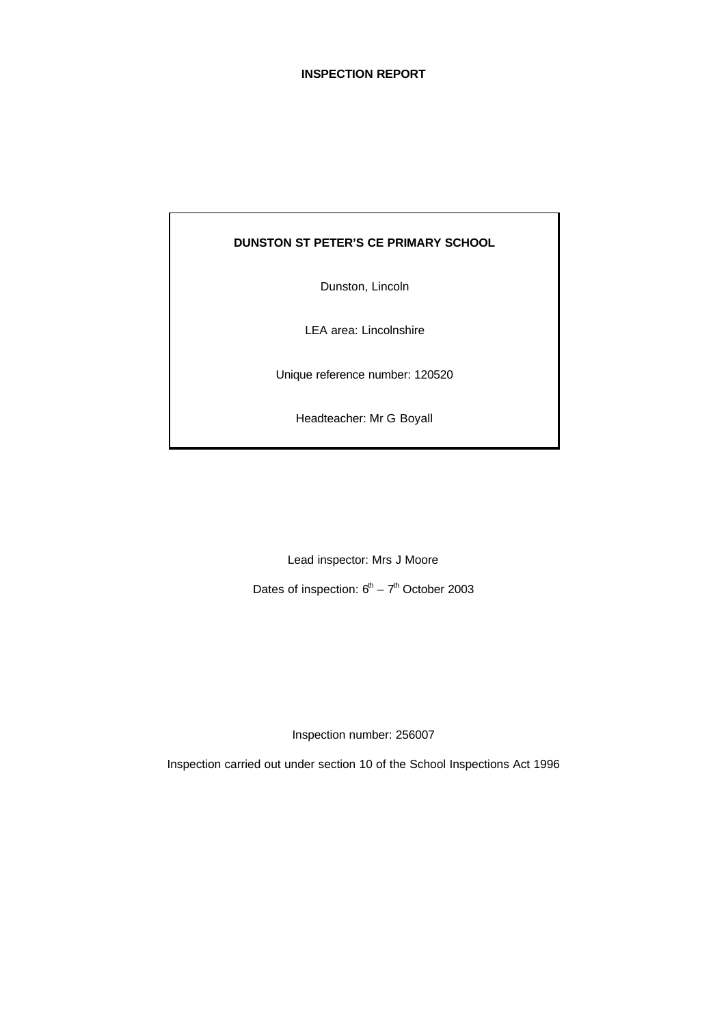# **INSPECTION REPORT**

### **DUNSTON ST PETER'S CE PRIMARY SCHOOL**

Dunston, Lincoln

LEA area: Lincolnshire

Unique reference number: 120520

Headteacher: Mr G Boyall

Lead inspector: Mrs J Moore

Dates of inspection:  $6<sup>th</sup> - 7<sup>th</sup>$  October 2003

Inspection number: 256007

Inspection carried out under section 10 of the School Inspections Act 1996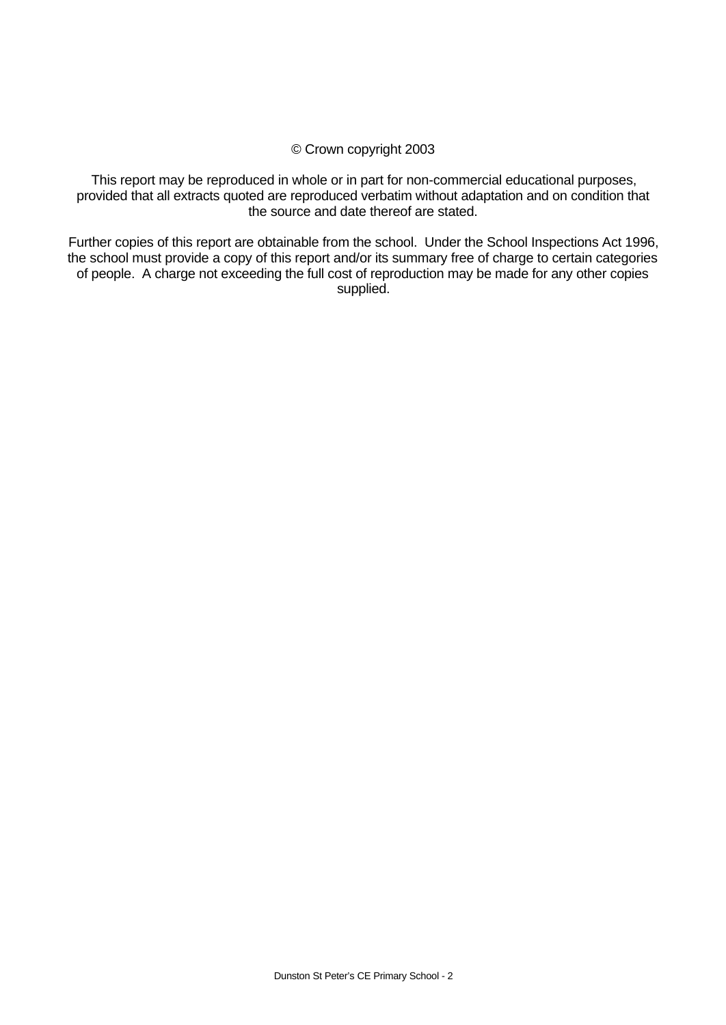### © Crown copyright 2003

This report may be reproduced in whole or in part for non-commercial educational purposes, provided that all extracts quoted are reproduced verbatim without adaptation and on condition that the source and date thereof are stated.

Further copies of this report are obtainable from the school. Under the School Inspections Act 1996, the school must provide a copy of this report and/or its summary free of charge to certain categories of people. A charge not exceeding the full cost of reproduction may be made for any other copies supplied.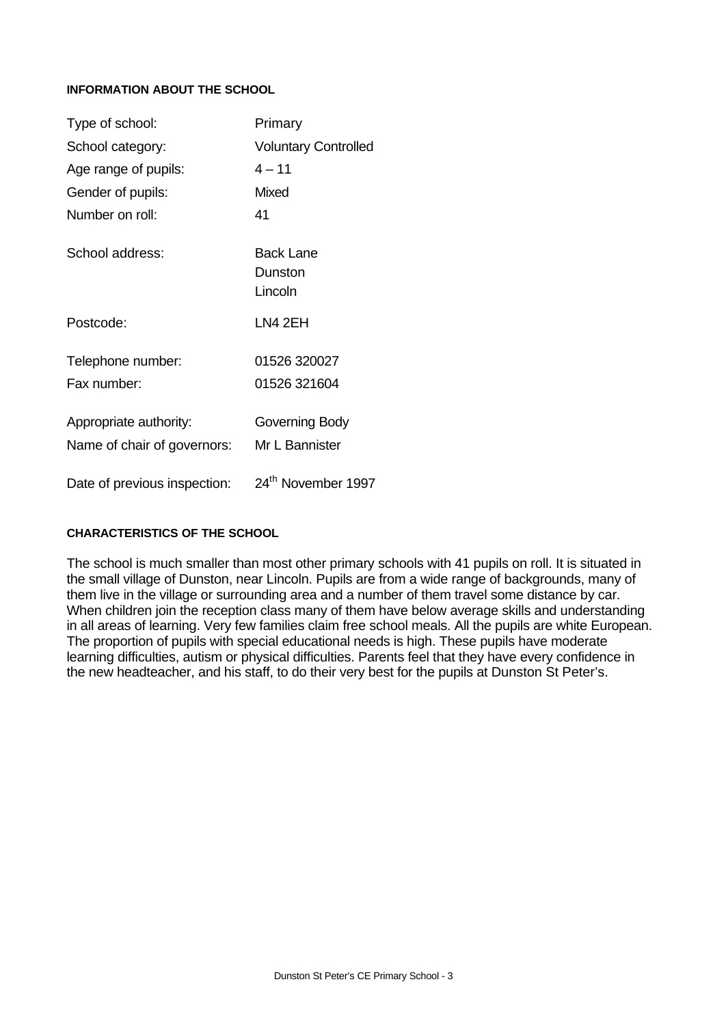### **INFORMATION ABOUT THE SCHOOL**

| Type of school:              | Primary                         |  |  |
|------------------------------|---------------------------------|--|--|
| School category:             | <b>Voluntary Controlled</b>     |  |  |
| Age range of pupils:         | $4 - 11$                        |  |  |
| Gender of pupils:            | Mixed                           |  |  |
| Number on roll:              | 41                              |  |  |
| School address:              | Back Lane<br>Dunston<br>Lincoln |  |  |
| Postcode:                    | LN4 2EH                         |  |  |
| Telephone number:            | 01526 320027                    |  |  |
| Fax number:                  | 01526 321604                    |  |  |
| Appropriate authority:       | Governing Body                  |  |  |
| Name of chair of governors:  | Mr L Bannister                  |  |  |
| Date of previous inspection: | 24 <sup>th</sup> November 1997  |  |  |

### **CHARACTERISTICS OF THE SCHOOL**

The school is much smaller than most other primary schools with 41 pupils on roll. It is situated in the small village of Dunston, near Lincoln. Pupils are from a wide range of backgrounds, many of them live in the village or surrounding area and a number of them travel some distance by car. When children join the reception class many of them have below average skills and understanding in all areas of learning. Very few families claim free school meals. All the pupils are white European. The proportion of pupils with special educational needs is high. These pupils have moderate learning difficulties, autism or physical difficulties. Parents feel that they have every confidence in the new headteacher, and his staff, to do their very best for the pupils at Dunston St Peter's.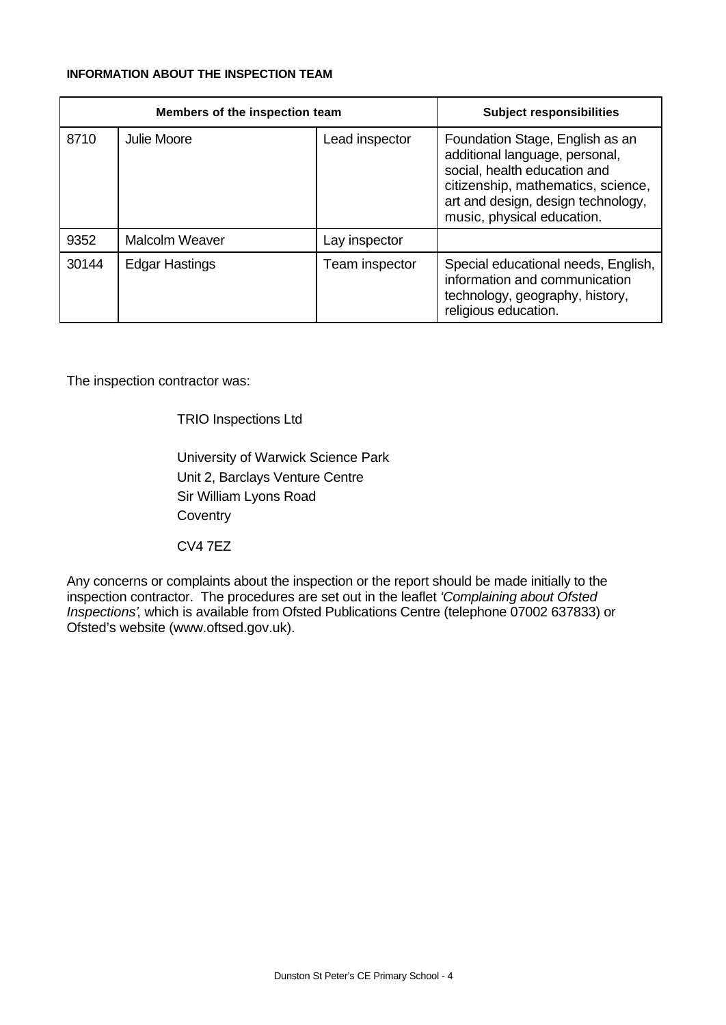# **INFORMATION ABOUT THE INSPECTION TEAM**

|       | Members of the inspection team | <b>Subject responsibilities</b> |                                                                                                                                                                                                             |
|-------|--------------------------------|---------------------------------|-------------------------------------------------------------------------------------------------------------------------------------------------------------------------------------------------------------|
| 8710  | Julie Moore                    | Lead inspector                  | Foundation Stage, English as an<br>additional language, personal,<br>social, health education and<br>citizenship, mathematics, science,<br>art and design, design technology,<br>music, physical education. |
| 9352  | <b>Malcolm Weaver</b>          | Lay inspector                   |                                                                                                                                                                                                             |
| 30144 | <b>Edgar Hastings</b>          | Team inspector                  | Special educational needs, English,<br>information and communication<br>technology, geography, history,<br>religious education.                                                                             |

The inspection contractor was:

TRIO Inspections Ltd

University of Warwick Science Park Unit 2, Barclays Venture Centre Sir William Lyons Road **Coventry** 

CV4 7EZ

Any concerns or complaints about the inspection or the report should be made initially to the inspection contractor. The procedures are set out in the leaflet *'Complaining about Ofsted Inspections'*, which is available from Ofsted Publications Centre (telephone 07002 637833) or Ofsted's website (www.oftsed.gov.uk).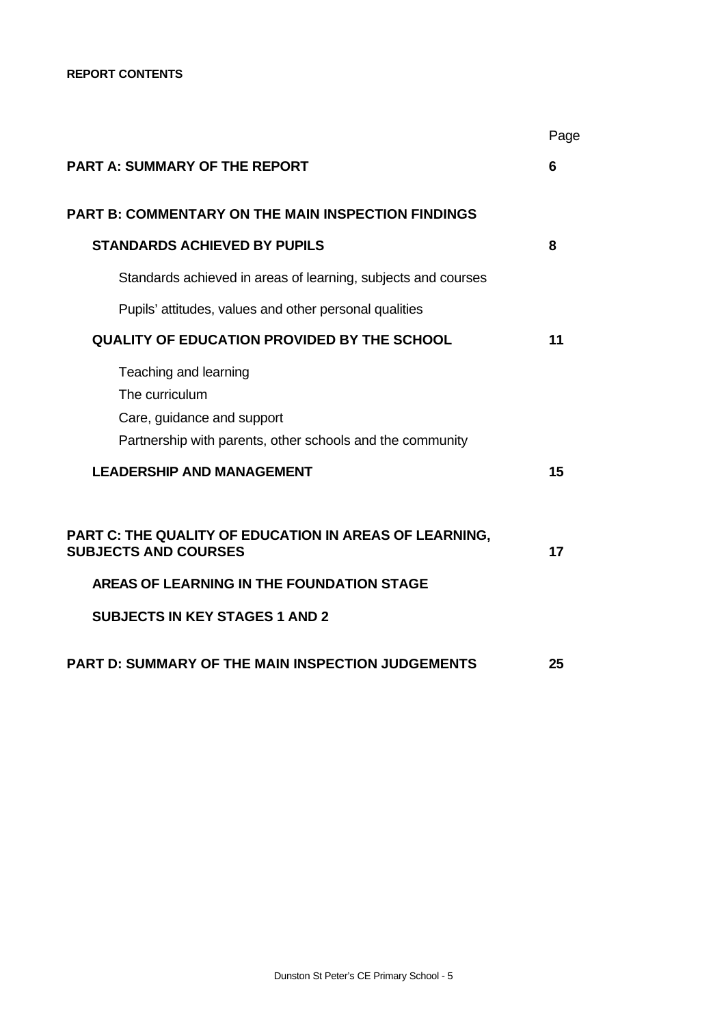|                                                                                                                                                                             | Page |
|-----------------------------------------------------------------------------------------------------------------------------------------------------------------------------|------|
| <b>PART A: SUMMARY OF THE REPORT</b>                                                                                                                                        | 6    |
| <b>PART B: COMMENTARY ON THE MAIN INSPECTION FINDINGS</b>                                                                                                                   |      |
| <b>STANDARDS ACHIEVED BY PUPILS</b>                                                                                                                                         | 8    |
| Standards achieved in areas of learning, subjects and courses                                                                                                               |      |
| Pupils' attitudes, values and other personal qualities                                                                                                                      |      |
| <b>QUALITY OF EDUCATION PROVIDED BY THE SCHOOL</b>                                                                                                                          | 11   |
| Teaching and learning<br>The curriculum<br>Care, guidance and support<br>Partnership with parents, other schools and the community                                          |      |
| <b>LEADERSHIP AND MANAGEMENT</b>                                                                                                                                            | 15   |
| PART C: THE QUALITY OF EDUCATION IN AREAS OF LEARNING,<br><b>SUBJECTS AND COURSES</b><br>AREAS OF LEARNING IN THE FOUNDATION STAGE<br><b>SUBJECTS IN KEY STAGES 1 AND 2</b> | 17   |
| <b>PART D: SUMMARY OF THE MAIN INSPECTION JUDGEMENTS</b>                                                                                                                    | 25   |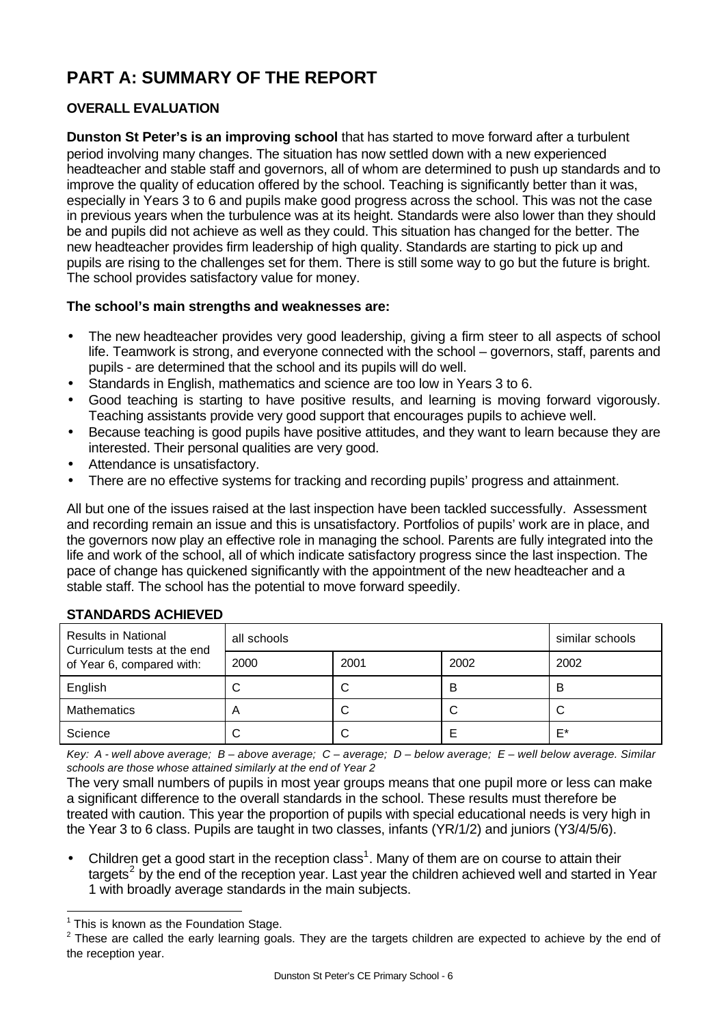# **PART A: SUMMARY OF THE REPORT**

# **OVERALL EVALUATION**

**Dunston St Peter's is an improving school** that has started to move forward after a turbulent period involving many changes. The situation has now settled down with a new experienced headteacher and stable staff and governors, all of whom are determined to push up standards and to improve the quality of education offered by the school. Teaching is significantly better than it was, especially in Years 3 to 6 and pupils make good progress across the school. This was not the case in previous years when the turbulence was at its height. Standards were also lower than they should be and pupils did not achieve as well as they could. This situation has changed for the better. The new headteacher provides firm leadership of high quality. Standards are starting to pick up and pupils are rising to the challenges set for them. There is still some way to go but the future is bright. The school provides satisfactory value for money.

# **The school's main strengths and weaknesses are:**

- The new headteacher provides very good leadership, giving a firm steer to all aspects of school life. Teamwork is strong, and everyone connected with the school – governors, staff, parents and pupils - are determined that the school and its pupils will do well.
- Standards in English, mathematics and science are too low in Years 3 to 6.
- Good teaching is starting to have positive results, and learning is moving forward vigorously. Teaching assistants provide very good support that encourages pupils to achieve well.
- Because teaching is good pupils have positive attitudes, and they want to learn because they are interested. Their personal qualities are very good.
- Attendance is unsatisfactory.
- There are no effective systems for tracking and recording pupils' progress and attainment.

All but one of the issues raised at the last inspection have been tackled successfully. Assessment and recording remain an issue and this is unsatisfactory. Portfolios of pupils' work are in place, and the governors now play an effective role in managing the school. Parents are fully integrated into the life and work of the school, all of which indicate satisfactory progress since the last inspection. The pace of change has quickened significantly with the appointment of the new headteacher and a stable staff. The school has the potential to move forward speedily.

| <b>Results in National</b><br>Curriculum tests at the end<br>of Year 6, compared with: | all schools | similar schools |      |      |
|----------------------------------------------------------------------------------------|-------------|-----------------|------|------|
|                                                                                        | 2000        | 2001            | 2002 | 2002 |
| English                                                                                |             |                 | в    | B    |
| <b>Mathematics</b>                                                                     |             |                 | C    |      |
| Science                                                                                |             |                 |      | E*   |

# **STANDARDS ACHIEVED**

*Key: A - well above average; B – above average; C – average; D – below average; E – well below average. Similar schools are those whose attained similarly at the end of Year 2*

The very small numbers of pupils in most year groups means that one pupil more or less can make a significant difference to the overall standards in the school. These results must therefore be treated with caution. This year the proportion of pupils with special educational needs is very high in the Year 3 to 6 class. Pupils are taught in two classes, infants (YR/1/2) and juniors (Y3/4/5/6).

• Children get a good start in the reception class<sup>1</sup>. Many of them are on course to attain their targets<sup>2</sup> by the end of the reception year. Last year the children achieved well and started in Year 1 with broadly average standards in the main subjects.

 $\overline{a}$ 

 $1$  This is known as the Foundation Stage.

 $2$  These are called the early learning goals. They are the targets children are expected to achieve by the end of the reception year.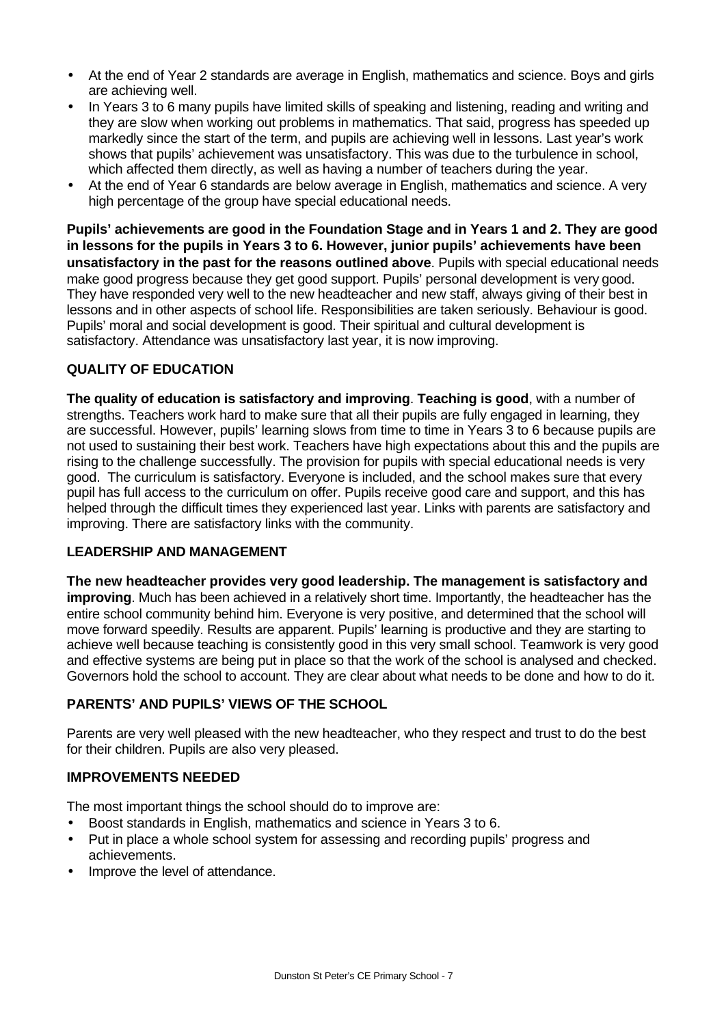- At the end of Year 2 standards are average in English, mathematics and science. Boys and girls are achieving well.
- In Years 3 to 6 many pupils have limited skills of speaking and listening, reading and writing and they are slow when working out problems in mathematics. That said, progress has speeded up markedly since the start of the term, and pupils are achieving well in lessons. Last year's work shows that pupils' achievement was unsatisfactory. This was due to the turbulence in school, which affected them directly, as well as having a number of teachers during the year.
- At the end of Year 6 standards are below average in English, mathematics and science. A very high percentage of the group have special educational needs.

**Pupils' achievements are good in the Foundation Stage and in Years 1 and 2. They are good in lessons for the pupils in Years 3 to 6. However, junior pupils' achievements have been unsatisfactory in the past for the reasons outlined above**. Pupils with special educational needs make good progress because they get good support. Pupils' personal development is very good. They have responded very well to the new headteacher and new staff, always giving of their best in lessons and in other aspects of school life. Responsibilities are taken seriously. Behaviour is good. Pupils' moral and social development is good. Their spiritual and cultural development is satisfactory. Attendance was unsatisfactory last year, it is now improving.

# **QUALITY OF EDUCATION**

**The quality of education is satisfactory and improving**. **Teaching is good**, with a number of strengths. Teachers work hard to make sure that all their pupils are fully engaged in learning, they are successful. However, pupils' learning slows from time to time in Years 3 to 6 because pupils are not used to sustaining their best work. Teachers have high expectations about this and the pupils are rising to the challenge successfully. The provision for pupils with special educational needs is very good. The curriculum is satisfactory. Everyone is included, and the school makes sure that every pupil has full access to the curriculum on offer. Pupils receive good care and support, and this has helped through the difficult times they experienced last year. Links with parents are satisfactory and improving. There are satisfactory links with the community.

# **LEADERSHIP AND MANAGEMENT**

**The new headteacher provides very good leadership. The management is satisfactory and improving**. Much has been achieved in a relatively short time. Importantly, the headteacher has the entire school community behind him. Everyone is very positive, and determined that the school will move forward speedily. Results are apparent. Pupils' learning is productive and they are starting to achieve well because teaching is consistently good in this very small school. Teamwork is very good and effective systems are being put in place so that the work of the school is analysed and checked. Governors hold the school to account. They are clear about what needs to be done and how to do it.

# **PARENTS' AND PUPILS' VIEWS OF THE SCHOOL**

Parents are very well pleased with the new headteacher, who they respect and trust to do the best for their children. Pupils are also very pleased.

# **IMPROVEMENTS NEEDED**

The most important things the school should do to improve are:

- Boost standards in English, mathematics and science in Years 3 to 6.
- Put in place a whole school system for assessing and recording pupils' progress and achievements.
- Improve the level of attendance.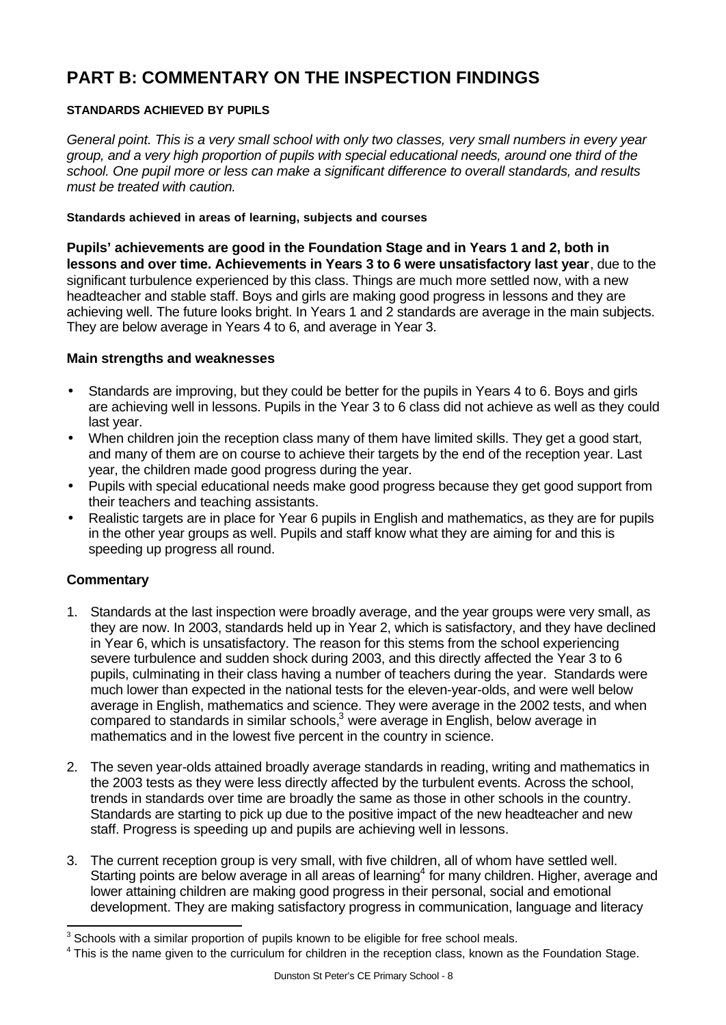# **PART B: COMMENTARY ON THE INSPECTION FINDINGS**

# **STANDARDS ACHIEVED BY PUPILS**

*General point. This is a very small school with only two classes, very small numbers in every year group, and a very high proportion of pupils with special educational needs, around one third of the school. One pupil more or less can make a significant difference to overall standards, and results must be treated with caution.*

### **Standards achieved in areas of learning, subjects and courses**

**Pupils' achievements are good in the Foundation Stage and in Years 1 and 2, both in lessons and over time. Achievements in Years 3 to 6 were unsatisfactory last year**, due to the significant turbulence experienced by this class. Things are much more settled now, with a new headteacher and stable staff. Boys and girls are making good progress in lessons and they are achieving well. The future looks bright. In Years 1 and 2 standards are average in the main subjects. They are below average in Years 4 to 6, and average in Year 3.

# **Main strengths and weaknesses**

- Standards are improving, but they could be better for the pupils in Years 4 to 6. Boys and girls are achieving well in lessons. Pupils in the Year 3 to 6 class did not achieve as well as they could last year.
- When children join the reception class many of them have limited skills. They get a good start, and many of them are on course to achieve their targets by the end of the reception year. Last year, the children made good progress during the year.
- Pupils with special educational needs make good progress because they get good support from their teachers and teaching assistants.
- Realistic targets are in place for Year 6 pupils in English and mathematics, as they are for pupils in the other year groups as well. Pupils and staff know what they are aiming for and this is speeding up progress all round.

# **Commentary**

l

- 1. Standards at the last inspection were broadly average, and the year groups were very small, as they are now. In 2003, standards held up in Year 2, which is satisfactory, and they have declined in Year 6, which is unsatisfactory. The reason for this stems from the school experiencing severe turbulence and sudden shock during 2003, and this directly affected the Year 3 to 6 pupils, culminating in their class having a number of teachers during the year. Standards were much lower than expected in the national tests for the eleven-year-olds, and were well below average in English, mathematics and science. They were average in the 2002 tests, and when compared to standards in similar schools,<sup>3</sup> were average in English, below average in mathematics and in the lowest five percent in the country in science.
- 2. The seven year-olds attained broadly average standards in reading, writing and mathematics in the 2003 tests as they were less directly affected by the turbulent events. Across the school, trends in standards over time are broadly the same as those in other schools in the country. Standards are starting to pick up due to the positive impact of the new headteacher and new staff. Progress is speeding up and pupils are achieving well in lessons.
- 3. The current reception group is very small, with five children, all of whom have settled well. Starting points are below average in all areas of learning<sup>4</sup> for many children. Higher, average and lower attaining children are making good progress in their personal, social and emotional development. They are making satisfactory progress in communication, language and literacy

 $3$  Schools with a similar proportion of pupils known to be eligible for free school meals.

<sup>&</sup>lt;sup>4</sup> This is the name given to the curriculum for children in the reception class, known as the Foundation Stage.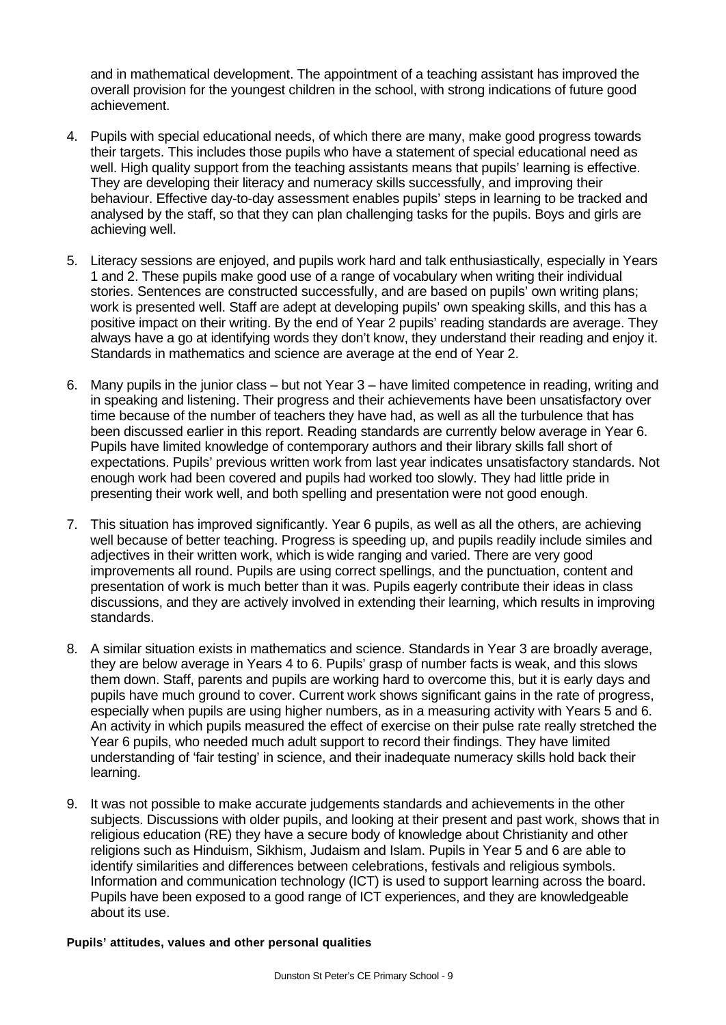and in mathematical development. The appointment of a teaching assistant has improved the overall provision for the youngest children in the school, with strong indications of future good achievement.

- 4. Pupils with special educational needs, of which there are many, make good progress towards their targets. This includes those pupils who have a statement of special educational need as well. High quality support from the teaching assistants means that pupils' learning is effective. They are developing their literacy and numeracy skills successfully, and improving their behaviour. Effective day-to-day assessment enables pupils' steps in learning to be tracked and analysed by the staff, so that they can plan challenging tasks for the pupils. Boys and girls are achieving well.
- 5. Literacy sessions are enjoyed, and pupils work hard and talk enthusiastically, especially in Years 1 and 2. These pupils make good use of a range of vocabulary when writing their individual stories. Sentences are constructed successfully, and are based on pupils' own writing plans; work is presented well. Staff are adept at developing pupils' own speaking skills, and this has a positive impact on their writing. By the end of Year 2 pupils' reading standards are average. They always have a go at identifying words they don't know, they understand their reading and enjoy it. Standards in mathematics and science are average at the end of Year 2.
- 6. Many pupils in the junior class but not Year 3 have limited competence in reading, writing and in speaking and listening. Their progress and their achievements have been unsatisfactory over time because of the number of teachers they have had, as well as all the turbulence that has been discussed earlier in this report. Reading standards are currently below average in Year 6. Pupils have limited knowledge of contemporary authors and their library skills fall short of expectations. Pupils' previous written work from last year indicates unsatisfactory standards. Not enough work had been covered and pupils had worked too slowly. They had little pride in presenting their work well, and both spelling and presentation were not good enough.
- 7. This situation has improved significantly. Year 6 pupils, as well as all the others, are achieving well because of better teaching. Progress is speeding up, and pupils readily include similes and adjectives in their written work, which is wide ranging and varied. There are very good improvements all round. Pupils are using correct spellings, and the punctuation, content and presentation of work is much better than it was. Pupils eagerly contribute their ideas in class discussions, and they are actively involved in extending their learning, which results in improving standards.
- 8. A similar situation exists in mathematics and science. Standards in Year 3 are broadly average, they are below average in Years 4 to 6. Pupils' grasp of number facts is weak, and this slows them down. Staff, parents and pupils are working hard to overcome this, but it is early days and pupils have much ground to cover. Current work shows significant gains in the rate of progress, especially when pupils are using higher numbers, as in a measuring activity with Years 5 and 6. An activity in which pupils measured the effect of exercise on their pulse rate really stretched the Year 6 pupils, who needed much adult support to record their findings. They have limited understanding of 'fair testing' in science, and their inadequate numeracy skills hold back their learning.
- 9. It was not possible to make accurate judgements standards and achievements in the other subjects. Discussions with older pupils, and looking at their present and past work, shows that in religious education (RE) they have a secure body of knowledge about Christianity and other religions such as Hinduism, Sikhism, Judaism and Islam. Pupils in Year 5 and 6 are able to identify similarities and differences between celebrations, festivals and religious symbols. Information and communication technology (ICT) is used to support learning across the board. Pupils have been exposed to a good range of ICT experiences, and they are knowledgeable about its use.

### **Pupils' attitudes, values and other personal qualities**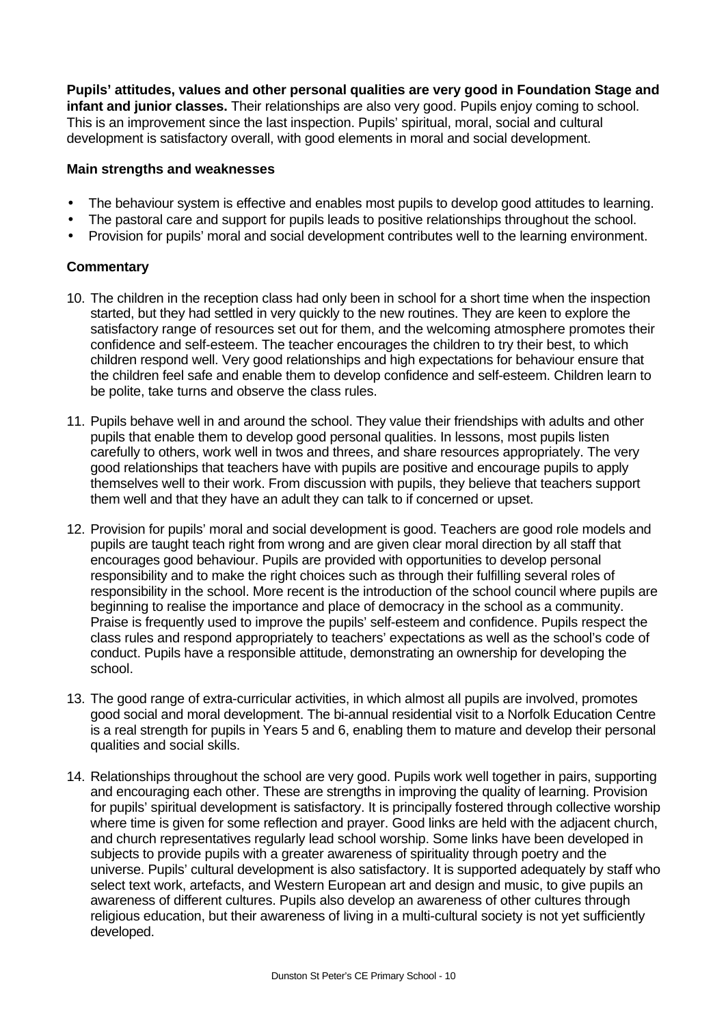**Pupils' attitudes, values and other personal qualities are very good in Foundation Stage and infant and junior classes.** Their relationships are also very good. Pupils enjoy coming to school. This is an improvement since the last inspection. Pupils' spiritual, moral, social and cultural development is satisfactory overall, with good elements in moral and social development.

# **Main strengths and weaknesses**

- The behaviour system is effective and enables most pupils to develop good attitudes to learning.
- The pastoral care and support for pupils leads to positive relationships throughout the school.
- Provision for pupils' moral and social development contributes well to the learning environment.

# **Commentary**

- 10. The children in the reception class had only been in school for a short time when the inspection started, but they had settled in very quickly to the new routines. They are keen to explore the satisfactory range of resources set out for them, and the welcoming atmosphere promotes their confidence and self-esteem. The teacher encourages the children to try their best, to which children respond well. Very good relationships and high expectations for behaviour ensure that the children feel safe and enable them to develop confidence and self-esteem. Children learn to be polite, take turns and observe the class rules.
- 11. Pupils behave well in and around the school. They value their friendships with adults and other pupils that enable them to develop good personal qualities. In lessons, most pupils listen carefully to others, work well in twos and threes, and share resources appropriately. The very good relationships that teachers have with pupils are positive and encourage pupils to apply themselves well to their work. From discussion with pupils, they believe that teachers support them well and that they have an adult they can talk to if concerned or upset.
- 12. Provision for pupils' moral and social development is good. Teachers are good role models and pupils are taught teach right from wrong and are given clear moral direction by all staff that encourages good behaviour. Pupils are provided with opportunities to develop personal responsibility and to make the right choices such as through their fulfilling several roles of responsibility in the school. More recent is the introduction of the school council where pupils are beginning to realise the importance and place of democracy in the school as a community. Praise is frequently used to improve the pupils' self-esteem and confidence. Pupils respect the class rules and respond appropriately to teachers' expectations as well as the school's code of conduct. Pupils have a responsible attitude, demonstrating an ownership for developing the school.
- 13. The good range of extra-curricular activities, in which almost all pupils are involved, promotes good social and moral development. The bi-annual residential visit to a Norfolk Education Centre is a real strength for pupils in Years 5 and 6, enabling them to mature and develop their personal qualities and social skills.
- 14. Relationships throughout the school are very good. Pupils work well together in pairs, supporting and encouraging each other. These are strengths in improving the quality of learning. Provision for pupils' spiritual development is satisfactory. It is principally fostered through collective worship where time is given for some reflection and prayer. Good links are held with the adjacent church, and church representatives regularly lead school worship. Some links have been developed in subjects to provide pupils with a greater awareness of spirituality through poetry and the universe. Pupils' cultural development is also satisfactory. It is supported adequately by staff who select text work, artefacts, and Western European art and design and music, to give pupils an awareness of different cultures. Pupils also develop an awareness of other cultures through religious education, but their awareness of living in a multi-cultural society is not yet sufficiently developed.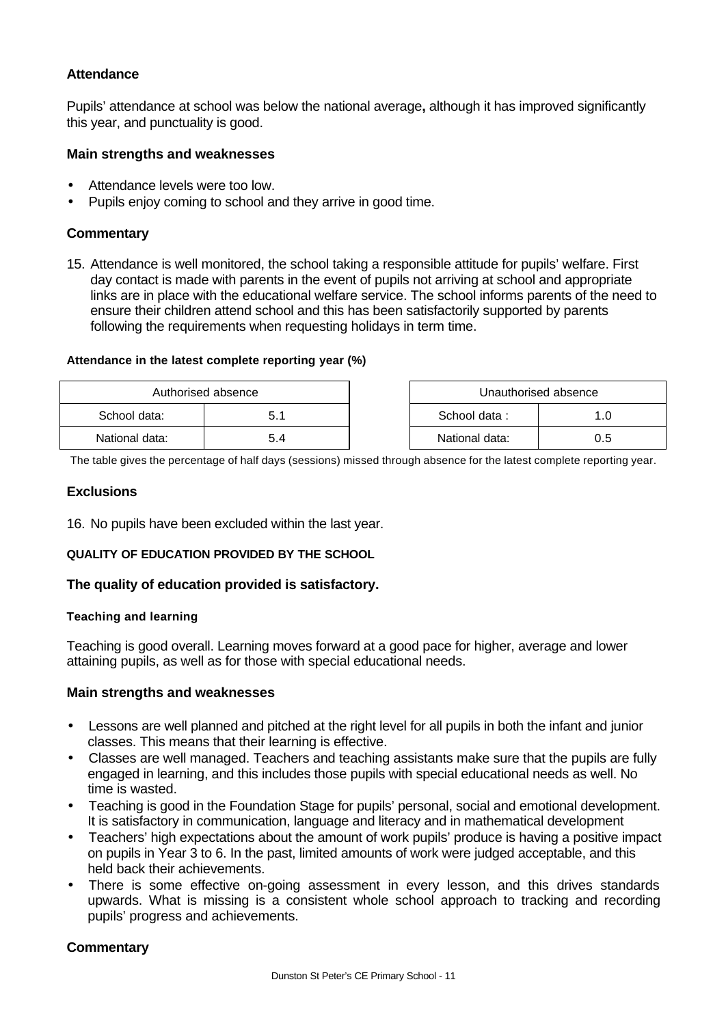# **Attendance**

Pupils' attendance at school was below the national average**,** although it has improved significantly this year, and punctuality is good.

### **Main strengths and weaknesses**

- Attendance levels were too low.
- Pupils enjoy coming to school and they arrive in good time.

# **Commentary**

15. Attendance is well monitored, the school taking a responsible attitude for pupils' welfare. First day contact is made with parents in the event of pupils not arriving at school and appropriate links are in place with the educational welfare service. The school informs parents of the need to ensure their children attend school and this has been satisfactorily supported by parents following the requirements when requesting holidays in term time.

### **Attendance in the latest complete reporting year (%)**

| Authorised absence |     | Unauthorised absence |     |  |
|--------------------|-----|----------------------|-----|--|
| School data:       | 5.1 | School data:         | .Ο  |  |
| National data:     | 5.4 | National data:       | 0.5 |  |

The table gives the percentage of half days (sessions) missed through absence for the latest complete reporting year.

### **Exclusions**

16. No pupils have been excluded within the last year.

### **QUALITY OF EDUCATION PROVIDED BY THE SCHOOL**

### **The quality of education provided is satisfactory.**

### **Teaching and learning**

Teaching is good overall. Learning moves forward at a good pace for higher, average and lower attaining pupils, as well as for those with special educational needs.

### **Main strengths and weaknesses**

- Lessons are well planned and pitched at the right level for all pupils in both the infant and junior classes. This means that their learning is effective.
- Classes are well managed. Teachers and teaching assistants make sure that the pupils are fully engaged in learning, and this includes those pupils with special educational needs as well. No time is wasted.
- Teaching is good in the Foundation Stage for pupils' personal, social and emotional development. It is satisfactory in communication, language and literacy and in mathematical development
- Teachers' high expectations about the amount of work pupils' produce is having a positive impact on pupils in Year 3 to 6. In the past, limited amounts of work were judged acceptable, and this held back their achievements.
- There is some effective on-going assessment in every lesson, and this drives standards upwards. What is missing is a consistent whole school approach to tracking and recording pupils' progress and achievements.

# **Commentary**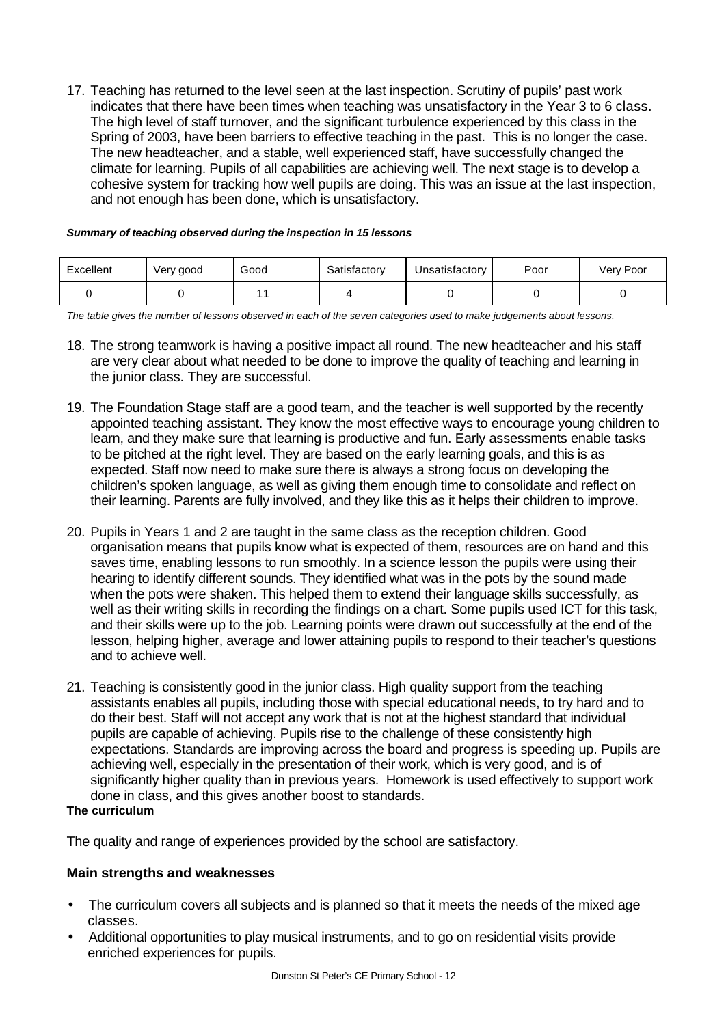17. Teaching has returned to the level seen at the last inspection. Scrutiny of pupils' past work indicates that there have been times when teaching was unsatisfactory in the Year 3 to 6 class. The high level of staff turnover, and the significant turbulence experienced by this class in the Spring of 2003, have been barriers to effective teaching in the past. This is no longer the case. The new headteacher, and a stable, well experienced staff, have successfully changed the climate for learning. Pupils of all capabilities are achieving well. The next stage is to develop a cohesive system for tracking how well pupils are doing. This was an issue at the last inspection, and not enough has been done, which is unsatisfactory.

| Excellent | Very good | Good | Satisfactory | Unsatisfactory | Poor | Very Poor |
|-----------|-----------|------|--------------|----------------|------|-----------|
|           |           |      |              |                |      |           |

### *Summary of teaching observed during the inspection in 15 lessons*

*The table gives the number of lessons observed in each of the seven categories used to make judgements about lessons.*

- 18. The strong teamwork is having a positive impact all round. The new headteacher and his staff are very clear about what needed to be done to improve the quality of teaching and learning in the junior class. They are successful.
- 19. The Foundation Stage staff are a good team, and the teacher is well supported by the recently appointed teaching assistant. They know the most effective ways to encourage young children to learn, and they make sure that learning is productive and fun. Early assessments enable tasks to be pitched at the right level. They are based on the early learning goals, and this is as expected. Staff now need to make sure there is always a strong focus on developing the children's spoken language, as well as giving them enough time to consolidate and reflect on their learning. Parents are fully involved, and they like this as it helps their children to improve.
- 20. Pupils in Years 1 and 2 are taught in the same class as the reception children. Good organisation means that pupils know what is expected of them, resources are on hand and this saves time, enabling lessons to run smoothly. In a science lesson the pupils were using their hearing to identify different sounds. They identified what was in the pots by the sound made when the pots were shaken. This helped them to extend their language skills successfully, as well as their writing skills in recording the findings on a chart. Some pupils used ICT for this task, and their skills were up to the job. Learning points were drawn out successfully at the end of the lesson, helping higher, average and lower attaining pupils to respond to their teacher's questions and to achieve well.
- 21. Teaching is consistently good in the junior class. High quality support from the teaching assistants enables all pupils, including those with special educational needs, to try hard and to do their best. Staff will not accept any work that is not at the highest standard that individual pupils are capable of achieving. Pupils rise to the challenge of these consistently high expectations. Standards are improving across the board and progress is speeding up. Pupils are achieving well, especially in the presentation of their work, which is very good, and is of significantly higher quality than in previous years. Homework is used effectively to support work done in class, and this gives another boost to standards.

### **The curriculum**

The quality and range of experiences provided by the school are satisfactory.

# **Main strengths and weaknesses**

- The curriculum covers all subjects and is planned so that it meets the needs of the mixed age classes.
- Additional opportunities to play musical instruments, and to go on residential visits provide enriched experiences for pupils.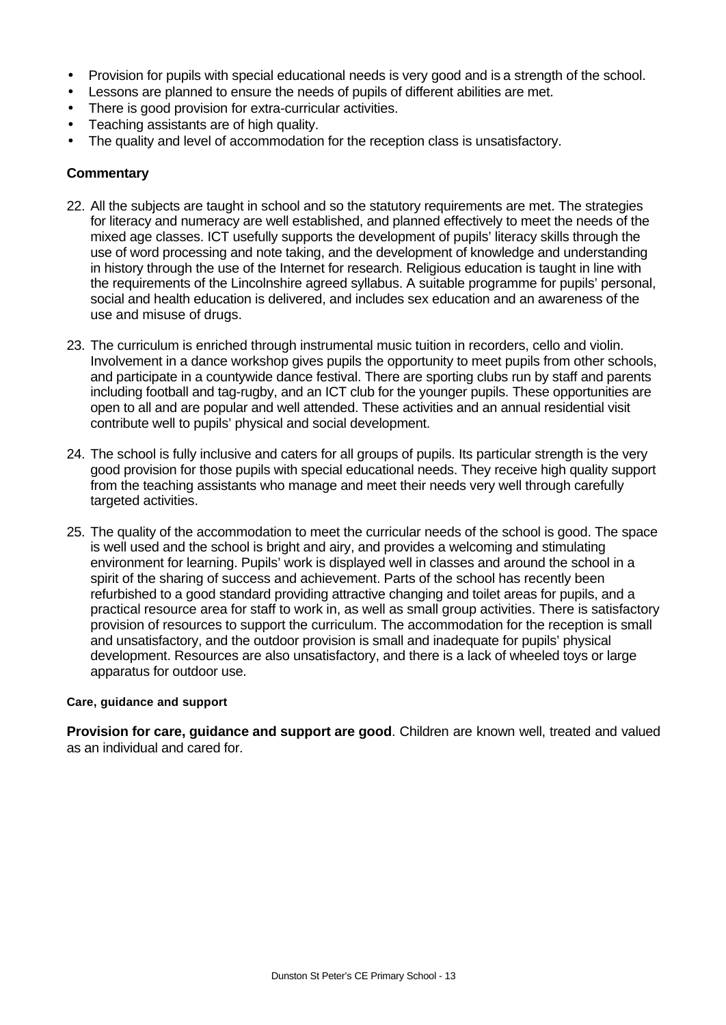- Provision for pupils with special educational needs is very good and is a strength of the school.
- Lessons are planned to ensure the needs of pupils of different abilities are met.
- There is good provision for extra-curricular activities.
- Teaching assistants are of high quality.
- The quality and level of accommodation for the reception class is unsatisfactory.

### **Commentary**

- 22. All the subjects are taught in school and so the statutory requirements are met. The strategies for literacy and numeracy are well established, and planned effectively to meet the needs of the mixed age classes. ICT usefully supports the development of pupils' literacy skills through the use of word processing and note taking, and the development of knowledge and understanding in history through the use of the Internet for research. Religious education is taught in line with the requirements of the Lincolnshire agreed syllabus. A suitable programme for pupils' personal, social and health education is delivered, and includes sex education and an awareness of the use and misuse of drugs.
- 23. The curriculum is enriched through instrumental music tuition in recorders, cello and violin. Involvement in a dance workshop gives pupils the opportunity to meet pupils from other schools, and participate in a countywide dance festival. There are sporting clubs run by staff and parents including football and tag-rugby, and an ICT club for the younger pupils. These opportunities are open to all and are popular and well attended. These activities and an annual residential visit contribute well to pupils' physical and social development.
- 24. The school is fully inclusive and caters for all groups of pupils. Its particular strength is the very good provision for those pupils with special educational needs. They receive high quality support from the teaching assistants who manage and meet their needs very well through carefully targeted activities.
- 25. The quality of the accommodation to meet the curricular needs of the school is good. The space is well used and the school is bright and airy, and provides a welcoming and stimulating environment for learning. Pupils' work is displayed well in classes and around the school in a spirit of the sharing of success and achievement. Parts of the school has recently been refurbished to a good standard providing attractive changing and toilet areas for pupils, and a practical resource area for staff to work in, as well as small group activities. There is satisfactory provision of resources to support the curriculum. The accommodation for the reception is small and unsatisfactory, and the outdoor provision is small and inadequate for pupils' physical development. Resources are also unsatisfactory, and there is a lack of wheeled toys or large apparatus for outdoor use.

### **Care, guidance and support**

**Provision for care, guidance and support are good**. Children are known well, treated and valued as an individual and cared for.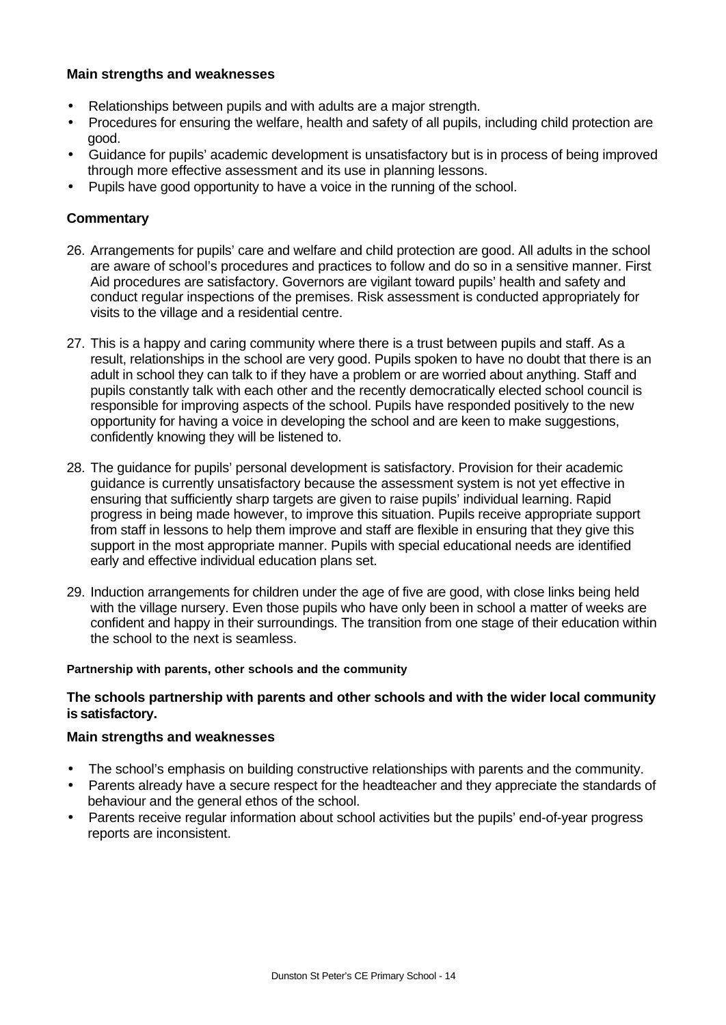### **Main strengths and weaknesses**

- Relationships between pupils and with adults are a major strength.
- Procedures for ensuring the welfare, health and safety of all pupils, including child protection are good.
- Guidance for pupils' academic development is unsatisfactory but is in process of being improved through more effective assessment and its use in planning lessons.
- Pupils have good opportunity to have a voice in the running of the school.

### **Commentary**

- 26. Arrangements for pupils' care and welfare and child protection are good. All adults in the school are aware of school's procedures and practices to follow and do so in a sensitive manner. First Aid procedures are satisfactory. Governors are vigilant toward pupils' health and safety and conduct regular inspections of the premises. Risk assessment is conducted appropriately for visits to the village and a residential centre.
- 27. This is a happy and caring community where there is a trust between pupils and staff. As a result, relationships in the school are very good. Pupils spoken to have no doubt that there is an adult in school they can talk to if they have a problem or are worried about anything. Staff and pupils constantly talk with each other and the recently democratically elected school council is responsible for improving aspects of the school. Pupils have responded positively to the new opportunity for having a voice in developing the school and are keen to make suggestions, confidently knowing they will be listened to.
- 28. The guidance for pupils' personal development is satisfactory. Provision for their academic guidance is currently unsatisfactory because the assessment system is not yet effective in ensuring that sufficiently sharp targets are given to raise pupils' individual learning. Rapid progress in being made however, to improve this situation. Pupils receive appropriate support from staff in lessons to help them improve and staff are flexible in ensuring that they give this support in the most appropriate manner. Pupils with special educational needs are identified early and effective individual education plans set.
- 29. Induction arrangements for children under the age of five are good, with close links being held with the village nursery. Even those pupils who have only been in school a matter of weeks are confident and happy in their surroundings. The transition from one stage of their education within the school to the next is seamless.

### **Partnership with parents, other schools and the community**

### **The schools partnership with parents and other schools and with the wider local community is satisfactory.**

### **Main strengths and weaknesses**

- The school's emphasis on building constructive relationships with parents and the community.
- Parents already have a secure respect for the headteacher and they appreciate the standards of behaviour and the general ethos of the school.
- Parents receive regular information about school activities but the pupils' end-of-year progress reports are inconsistent.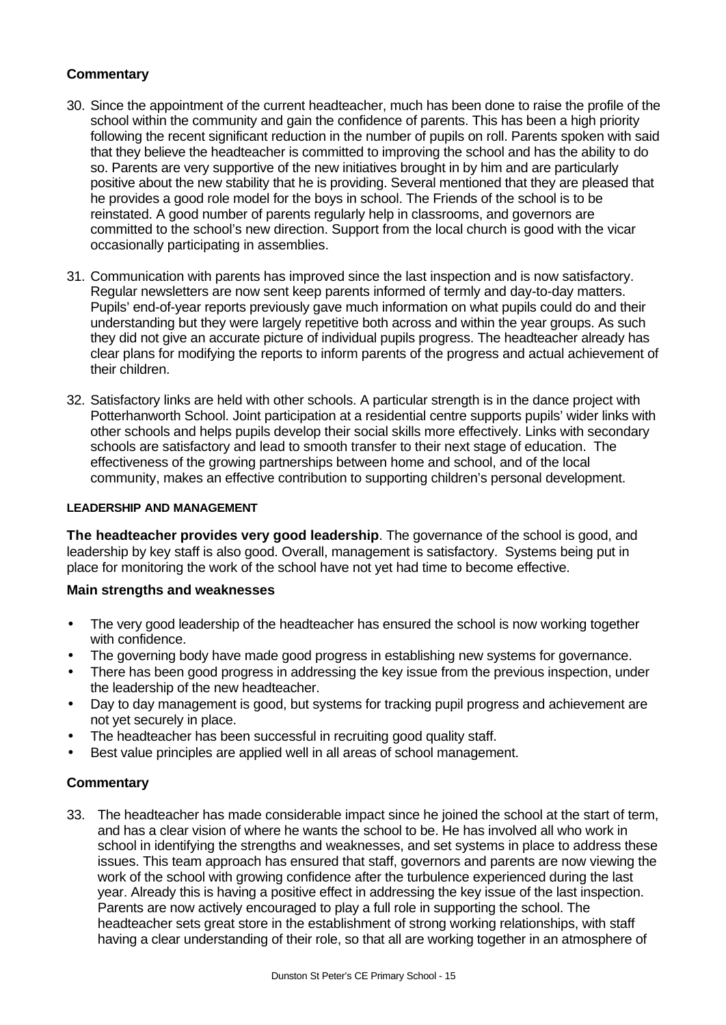# **Commentary**

- 30. Since the appointment of the current headteacher, much has been done to raise the profile of the school within the community and gain the confidence of parents. This has been a high priority following the recent significant reduction in the number of pupils on roll. Parents spoken with said that they believe the headteacher is committed to improving the school and has the ability to do so. Parents are very supportive of the new initiatives brought in by him and are particularly positive about the new stability that he is providing. Several mentioned that they are pleased that he provides a good role model for the boys in school. The Friends of the school is to be reinstated. A good number of parents regularly help in classrooms, and governors are committed to the school's new direction. Support from the local church is good with the vicar occasionally participating in assemblies.
- 31. Communication with parents has improved since the last inspection and is now satisfactory. Regular newsletters are now sent keep parents informed of termly and day-to-day matters. Pupils' end-of-year reports previously gave much information on what pupils could do and their understanding but they were largely repetitive both across and within the year groups. As such they did not give an accurate picture of individual pupils progress. The headteacher already has clear plans for modifying the reports to inform parents of the progress and actual achievement of their children.
- 32. Satisfactory links are held with other schools. A particular strength is in the dance project with Potterhanworth School. Joint participation at a residential centre supports pupils' wider links with other schools and helps pupils develop their social skills more effectively. Links with secondary schools are satisfactory and lead to smooth transfer to their next stage of education. The effectiveness of the growing partnerships between home and school, and of the local community, makes an effective contribution to supporting children's personal development.

# **LEADERSHIP AND MANAGEMENT**

**The headteacher provides very good leadership**. The governance of the school is good, and leadership by key staff is also good. Overall, management is satisfactory. Systems being put in place for monitoring the work of the school have not yet had time to become effective.

# **Main strengths and weaknesses**

- The very good leadership of the headteacher has ensured the school is now working together with confidence.
- The governing body have made good progress in establishing new systems for governance.
- There has been good progress in addressing the key issue from the previous inspection, under the leadership of the new headteacher.
- Day to day management is good, but systems for tracking pupil progress and achievement are not yet securely in place.
- The headteacher has been successful in recruiting good quality staff.
- Best value principles are applied well in all areas of school management.

# **Commentary**

33. The headteacher has made considerable impact since he joined the school at the start of term, and has a clear vision of where he wants the school to be. He has involved all who work in school in identifying the strengths and weaknesses, and set systems in place to address these issues. This team approach has ensured that staff, governors and parents are now viewing the work of the school with growing confidence after the turbulence experienced during the last year. Already this is having a positive effect in addressing the key issue of the last inspection. Parents are now actively encouraged to play a full role in supporting the school. The headteacher sets great store in the establishment of strong working relationships, with staff having a clear understanding of their role, so that all are working together in an atmosphere of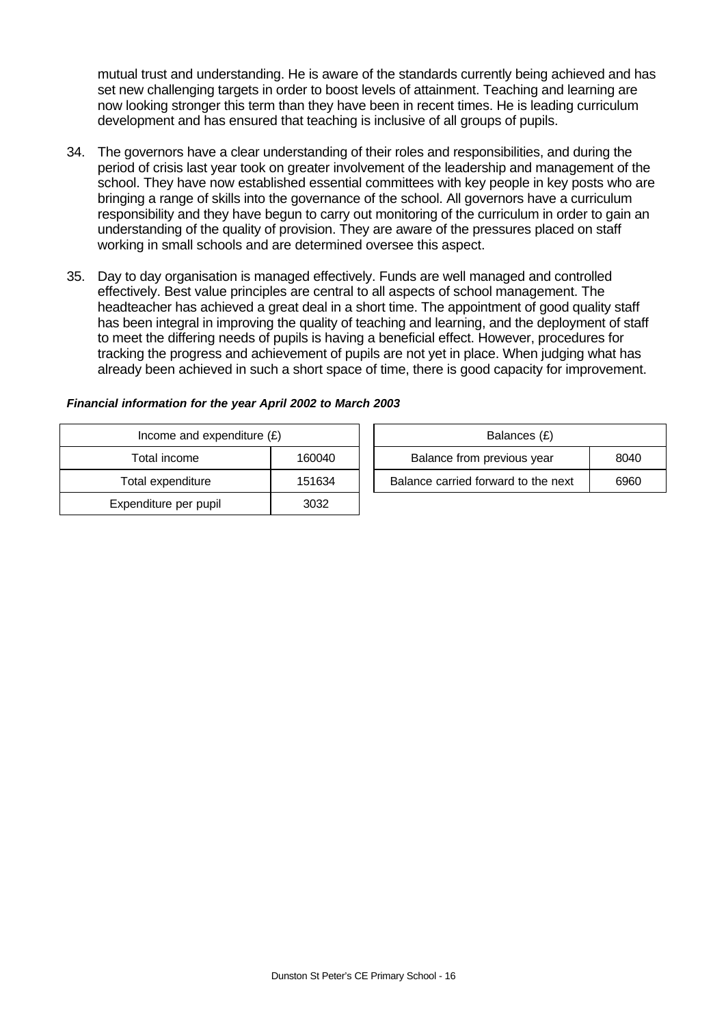mutual trust and understanding. He is aware of the standards currently being achieved and has set new challenging targets in order to boost levels of attainment. Teaching and learning are now looking stronger this term than they have been in recent times. He is leading curriculum development and has ensured that teaching is inclusive of all groups of pupils.

- 34. The governors have a clear understanding of their roles and responsibilities, and during the period of crisis last year took on greater involvement of the leadership and management of the school. They have now established essential committees with key people in key posts who are bringing a range of skills into the governance of the school. All governors have a curriculum responsibility and they have begun to carry out monitoring of the curriculum in order to gain an understanding of the quality of provision. They are aware of the pressures placed on staff working in small schools and are determined oversee this aspect.
- 35. Day to day organisation is managed effectively. Funds are well managed and controlled effectively. Best value principles are central to all aspects of school management. The headteacher has achieved a great deal in a short time. The appointment of good quality staff has been integral in improving the quality of teaching and learning, and the deployment of staff to meet the differing needs of pupils is having a beneficial effect. However, procedures for tracking the progress and achievement of pupils are not yet in place. When judging what has already been achieved in such a short space of time, there is good capacity for improvement.

| Income and expenditure $(E)$ |        | Balances (£)                        |      |
|------------------------------|--------|-------------------------------------|------|
| Total income                 | 160040 | Balance from previous year          | 8040 |
| Total expenditure            | 151634 | Balance carried forward to the next | 6960 |
| Expenditure per pupil        | 3032   |                                     |      |

# *Financial information for the year April 2002 to March 2003*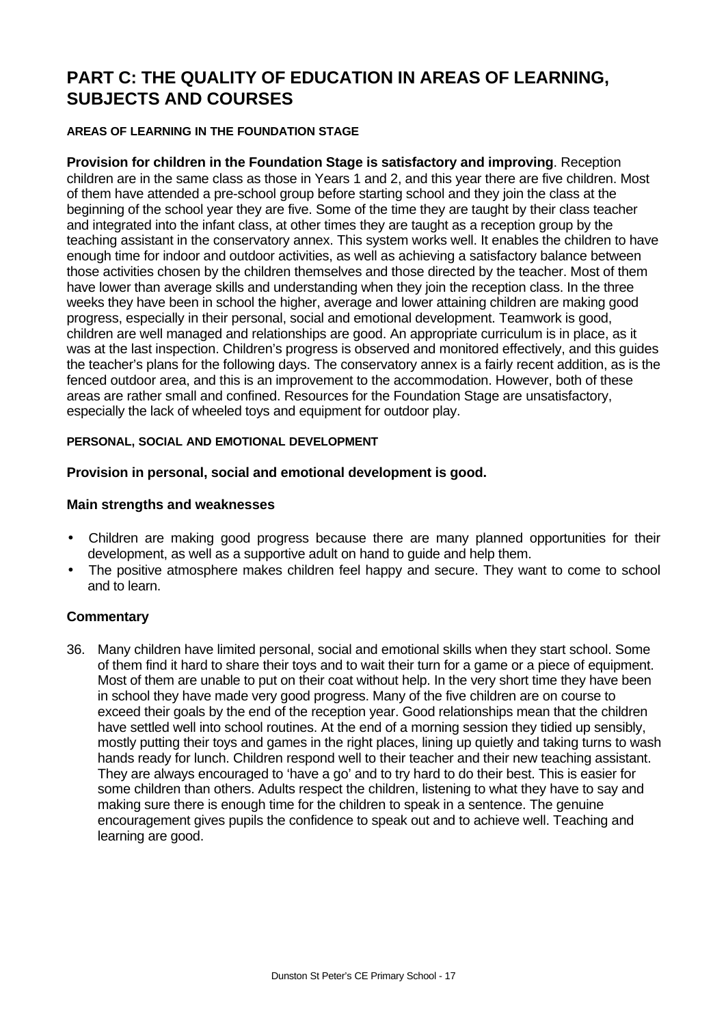# **PART C: THE QUALITY OF EDUCATION IN AREAS OF LEARNING, SUBJECTS AND COURSES**

# **AREAS OF LEARNING IN THE FOUNDATION STAGE**

**Provision for children in the Foundation Stage is satisfactory and improving**. Reception children are in the same class as those in Years 1 and 2, and this year there are five children. Most of them have attended a pre-school group before starting school and they join the class at the beginning of the school year they are five. Some of the time they are taught by their class teacher and integrated into the infant class, at other times they are taught as a reception group by the teaching assistant in the conservatory annex. This system works well. It enables the children to have enough time for indoor and outdoor activities, as well as achieving a satisfactory balance between those activities chosen by the children themselves and those directed by the teacher. Most of them have lower than average skills and understanding when they join the reception class. In the three weeks they have been in school the higher, average and lower attaining children are making good progress, especially in their personal, social and emotional development. Teamwork is good, children are well managed and relationships are good. An appropriate curriculum is in place, as it was at the last inspection. Children's progress is observed and monitored effectively, and this guides the teacher's plans for the following days. The conservatory annex is a fairly recent addition, as is the fenced outdoor area, and this is an improvement to the accommodation. However, both of these areas are rather small and confined. Resources for the Foundation Stage are unsatisfactory, especially the lack of wheeled toys and equipment for outdoor play.

# **PERSONAL, SOCIAL AND EMOTIONAL DEVELOPMENT**

# **Provision in personal, social and emotional development is good.**

# **Main strengths and weaknesses**

- Children are making good progress because there are many planned opportunities for their development, as well as a supportive adult on hand to guide and help them.
- The positive atmosphere makes children feel happy and secure. They want to come to school and to learn.

# **Commentary**

36. Many children have limited personal, social and emotional skills when they start school. Some of them find it hard to share their toys and to wait their turn for a game or a piece of equipment. Most of them are unable to put on their coat without help. In the very short time they have been in school they have made very good progress. Many of the five children are on course to exceed their goals by the end of the reception year. Good relationships mean that the children have settled well into school routines. At the end of a morning session they tidied up sensibly, mostly putting their toys and games in the right places, lining up quietly and taking turns to wash hands ready for lunch. Children respond well to their teacher and their new teaching assistant. They are always encouraged to 'have a go' and to try hard to do their best. This is easier for some children than others. Adults respect the children, listening to what they have to say and making sure there is enough time for the children to speak in a sentence. The genuine encouragement gives pupils the confidence to speak out and to achieve well. Teaching and learning are good.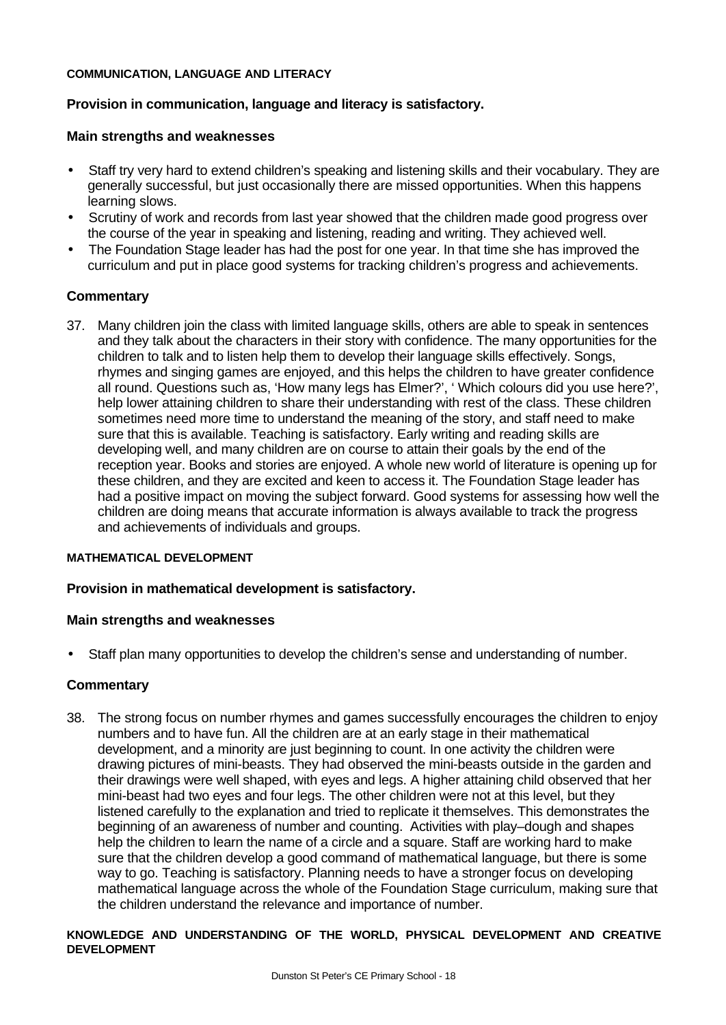### **COMMUNICATION, LANGUAGE AND LITERACY**

# **Provision in communication, language and literacy is satisfactory.**

### **Main strengths and weaknesses**

- Staff try very hard to extend children's speaking and listening skills and their vocabulary. They are generally successful, but just occasionally there are missed opportunities. When this happens learning slows.
- Scrutiny of work and records from last year showed that the children made good progress over the course of the year in speaking and listening, reading and writing. They achieved well.
- The Foundation Stage leader has had the post for one year. In that time she has improved the curriculum and put in place good systems for tracking children's progress and achievements.

# **Commentary**

37. Many children join the class with limited language skills, others are able to speak in sentences and they talk about the characters in their story with confidence. The many opportunities for the children to talk and to listen help them to develop their language skills effectively. Songs, rhymes and singing games are enjoyed, and this helps the children to have greater confidence all round. Questions such as, 'How many legs has Elmer?', ' Which colours did you use here?', help lower attaining children to share their understanding with rest of the class. These children sometimes need more time to understand the meaning of the story, and staff need to make sure that this is available. Teaching is satisfactory. Early writing and reading skills are developing well, and many children are on course to attain their goals by the end of the reception year. Books and stories are enjoyed. A whole new world of literature is opening up for these children, and they are excited and keen to access it. The Foundation Stage leader has had a positive impact on moving the subject forward. Good systems for assessing how well the children are doing means that accurate information is always available to track the progress and achievements of individuals and groups.

### **MATHEMATICAL DEVELOPMENT**

# **Provision in mathematical development is satisfactory.**

### **Main strengths and weaknesses**

• Staff plan many opportunities to develop the children's sense and understanding of number.

### **Commentary**

38. The strong focus on number rhymes and games successfully encourages the children to enjoy numbers and to have fun. All the children are at an early stage in their mathematical development, and a minority are just beginning to count. In one activity the children were drawing pictures of mini-beasts. They had observed the mini-beasts outside in the garden and their drawings were well shaped, with eyes and legs. A higher attaining child observed that her mini-beast had two eyes and four legs. The other children were not at this level, but they listened carefully to the explanation and tried to replicate it themselves. This demonstrates the beginning of an awareness of number and counting. Activities with play–dough and shapes help the children to learn the name of a circle and a square. Staff are working hard to make sure that the children develop a good command of mathematical language, but there is some way to go. Teaching is satisfactory. Planning needs to have a stronger focus on developing mathematical language across the whole of the Foundation Stage curriculum, making sure that the children understand the relevance and importance of number.

### **KNOWLEDGE AND UNDERSTANDING OF THE WORLD, PHYSICAL DEVELOPMENT AND CREATIVE DEVELOPMENT**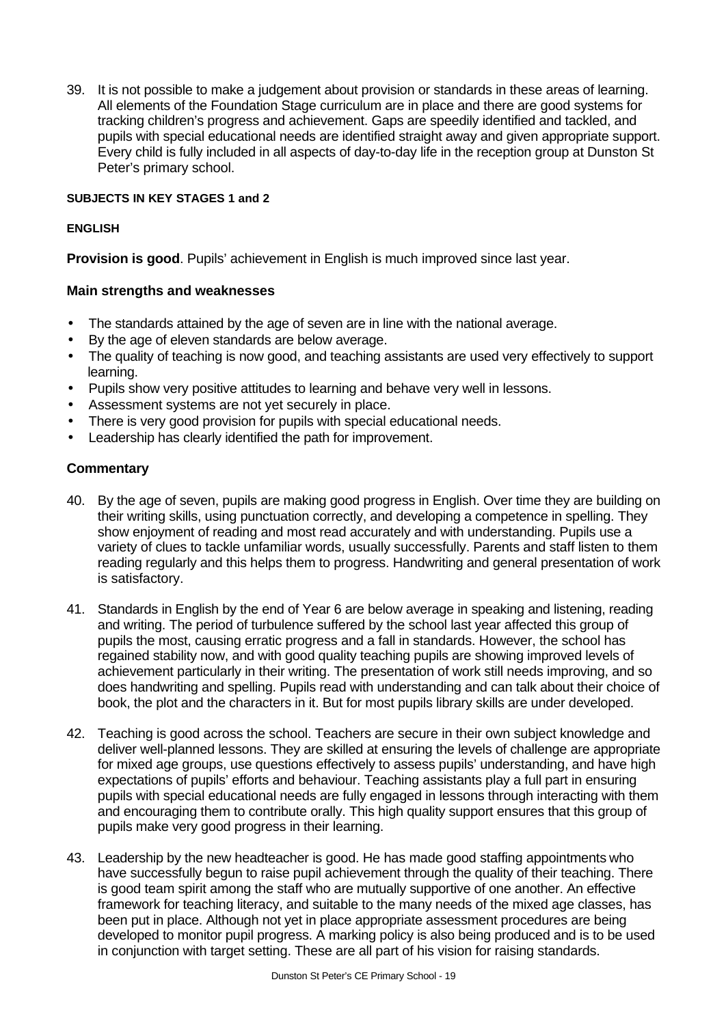39. It is not possible to make a judgement about provision or standards in these areas of learning. All elements of the Foundation Stage curriculum are in place and there are good systems for tracking children's progress and achievement. Gaps are speedily identified and tackled, and pupils with special educational needs are identified straight away and given appropriate support. Every child is fully included in all aspects of day-to-day life in the reception group at Dunston St Peter's primary school.

### **SUBJECTS IN KEY STAGES 1 and 2**

### **ENGLISH**

**Provision is good**. Pupils' achievement in English is much improved since last year.

# **Main strengths and weaknesses**

- The standards attained by the age of seven are in line with the national average.
- By the age of eleven standards are below average.
- The quality of teaching is now good, and teaching assistants are used very effectively to support learning.
- Pupils show very positive attitudes to learning and behave very well in lessons.
- Assessment systems are not yet securely in place.
- There is very good provision for pupils with special educational needs.
- Leadership has clearly identified the path for improvement.

### **Commentary**

- 40. By the age of seven, pupils are making good progress in English. Over time they are building on their writing skills, using punctuation correctly, and developing a competence in spelling. They show enjoyment of reading and most read accurately and with understanding. Pupils use a variety of clues to tackle unfamiliar words, usually successfully. Parents and staff listen to them reading regularly and this helps them to progress. Handwriting and general presentation of work is satisfactory.
- 41. Standards in English by the end of Year 6 are below average in speaking and listening, reading and writing. The period of turbulence suffered by the school last year affected this group of pupils the most, causing erratic progress and a fall in standards. However, the school has regained stability now, and with good quality teaching pupils are showing improved levels of achievement particularly in their writing. The presentation of work still needs improving, and so does handwriting and spelling. Pupils read with understanding and can talk about their choice of book, the plot and the characters in it. But for most pupils library skills are under developed.
- 42. Teaching is good across the school. Teachers are secure in their own subject knowledge and deliver well-planned lessons. They are skilled at ensuring the levels of challenge are appropriate for mixed age groups, use questions effectively to assess pupils' understanding, and have high expectations of pupils' efforts and behaviour. Teaching assistants play a full part in ensuring pupils with special educational needs are fully engaged in lessons through interacting with them and encouraging them to contribute orally. This high quality support ensures that this group of pupils make very good progress in their learning.
- 43. Leadership by the new headteacher is good. He has made good staffing appointments who have successfully begun to raise pupil achievement through the quality of their teaching. There is good team spirit among the staff who are mutually supportive of one another. An effective framework for teaching literacy, and suitable to the many needs of the mixed age classes, has been put in place. Although not yet in place appropriate assessment procedures are being developed to monitor pupil progress. A marking policy is also being produced and is to be used in conjunction with target setting. These are all part of his vision for raising standards.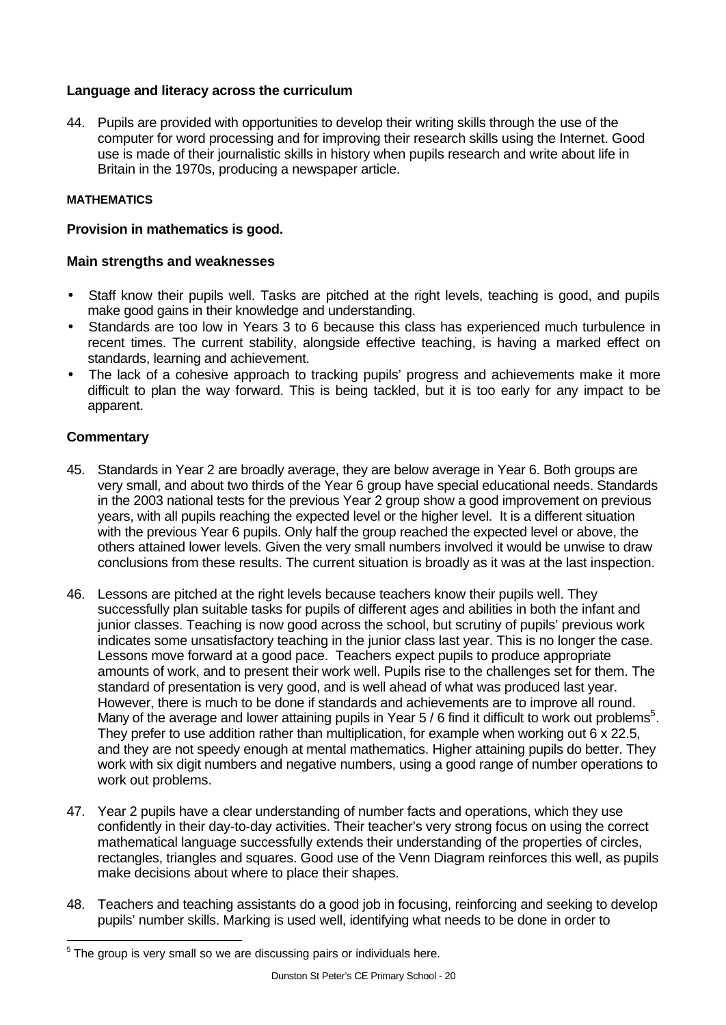# **Language and literacy across the curriculum**

44. Pupils are provided with opportunities to develop their writing skills through the use of the computer for word processing and for improving their research skills using the Internet. Good use is made of their journalistic skills in history when pupils research and write about life in Britain in the 1970s, producing a newspaper article.

# **MATHEMATICS**

# **Provision in mathematics is good.**

# **Main strengths and weaknesses**

- Staff know their pupils well. Tasks are pitched at the right levels, teaching is good, and pupils make good gains in their knowledge and understanding.
- Standards are too low in Years 3 to 6 because this class has experienced much turbulence in recent times. The current stability, alongside effective teaching, is having a marked effect on standards, learning and achievement.
- The lack of a cohesive approach to tracking pupils' progress and achievements make it more difficult to plan the way forward. This is being tackled, but it is too early for any impact to be apparent.

# **Commentary**

l

- 45. Standards in Year 2 are broadly average, they are below average in Year 6. Both groups are very small, and about two thirds of the Year 6 group have special educational needs. Standards in the 2003 national tests for the previous Year 2 group show a good improvement on previous years, with all pupils reaching the expected level or the higher level. It is a different situation with the previous Year 6 pupils. Only half the group reached the expected level or above, the others attained lower levels. Given the very small numbers involved it would be unwise to draw conclusions from these results. The current situation is broadly as it was at the last inspection.
- 46. Lessons are pitched at the right levels because teachers know their pupils well. They successfully plan suitable tasks for pupils of different ages and abilities in both the infant and junior classes. Teaching is now good across the school, but scrutiny of pupils' previous work indicates some unsatisfactory teaching in the junior class last year. This is no longer the case. Lessons move forward at a good pace. Teachers expect pupils to produce appropriate amounts of work, and to present their work well. Pupils rise to the challenges set for them. The standard of presentation is very good, and is well ahead of what was produced last year. However, there is much to be done if standards and achievements are to improve all round. Many of the average and lower attaining pupils in Year 5 / 6 find it difficult to work out problems<sup>5</sup>. They prefer to use addition rather than multiplication, for example when working out 6 x 22.5, and they are not speedy enough at mental mathematics. Higher attaining pupils do better. They work with six digit numbers and negative numbers, using a good range of number operations to work out problems.
- 47. Year 2 pupils have a clear understanding of number facts and operations, which they use confidently in their day-to-day activities. Their teacher's very strong focus on using the correct mathematical language successfully extends their understanding of the properties of circles, rectangles, triangles and squares. Good use of the Venn Diagram reinforces this well, as pupils make decisions about where to place their shapes.
- 48. Teachers and teaching assistants do a good job in focusing, reinforcing and seeking to develop pupils' number skills. Marking is used well, identifying what needs to be done in order to

 $5$  The group is very small so we are discussing pairs or individuals here.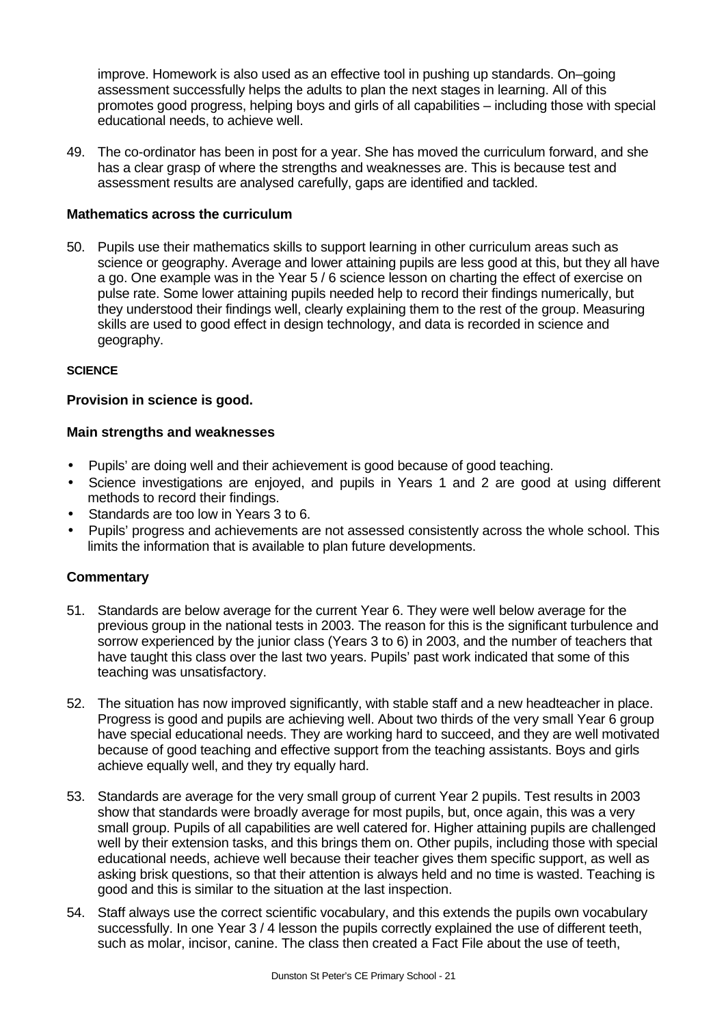improve. Homework is also used as an effective tool in pushing up standards. On–going assessment successfully helps the adults to plan the next stages in learning. All of this promotes good progress, helping boys and girls of all capabilities – including those with special educational needs, to achieve well.

49. The co-ordinator has been in post for a year. She has moved the curriculum forward, and she has a clear grasp of where the strengths and weaknesses are. This is because test and assessment results are analysed carefully, gaps are identified and tackled.

### **Mathematics across the curriculum**

50. Pupils use their mathematics skills to support learning in other curriculum areas such as science or geography. Average and lower attaining pupils are less good at this, but they all have a go. One example was in the Year 5 / 6 science lesson on charting the effect of exercise on pulse rate. Some lower attaining pupils needed help to record their findings numerically, but they understood their findings well, clearly explaining them to the rest of the group. Measuring skills are used to good effect in design technology, and data is recorded in science and geography.

### **SCIENCE**

### **Provision in science is good.**

### **Main strengths and weaknesses**

- Pupils' are doing well and their achievement is good because of good teaching.
- Science investigations are enjoyed, and pupils in Years 1 and 2 are good at using different methods to record their findings.
- Standards are too low in Years 3 to 6.
- Pupils' progress and achievements are not assessed consistently across the whole school. This limits the information that is available to plan future developments.

### **Commentary**

- 51. Standards are below average for the current Year 6. They were well below average for the previous group in the national tests in 2003. The reason for this is the significant turbulence and sorrow experienced by the junior class (Years 3 to 6) in 2003, and the number of teachers that have taught this class over the last two years. Pupils' past work indicated that some of this teaching was unsatisfactory.
- 52. The situation has now improved significantly, with stable staff and a new headteacher in place. Progress is good and pupils are achieving well. About two thirds of the very small Year 6 group have special educational needs. They are working hard to succeed, and they are well motivated because of good teaching and effective support from the teaching assistants. Boys and girls achieve equally well, and they try equally hard.
- 53. Standards are average for the very small group of current Year 2 pupils. Test results in 2003 show that standards were broadly average for most pupils, but, once again, this was a very small group. Pupils of all capabilities are well catered for. Higher attaining pupils are challenged well by their extension tasks, and this brings them on. Other pupils, including those with special educational needs, achieve well because their teacher gives them specific support, as well as asking brisk questions, so that their attention is always held and no time is wasted. Teaching is good and this is similar to the situation at the last inspection.
- 54. Staff always use the correct scientific vocabulary, and this extends the pupils own vocabulary successfully. In one Year 3 / 4 lesson the pupils correctly explained the use of different teeth, such as molar, incisor, canine. The class then created a Fact File about the use of teeth,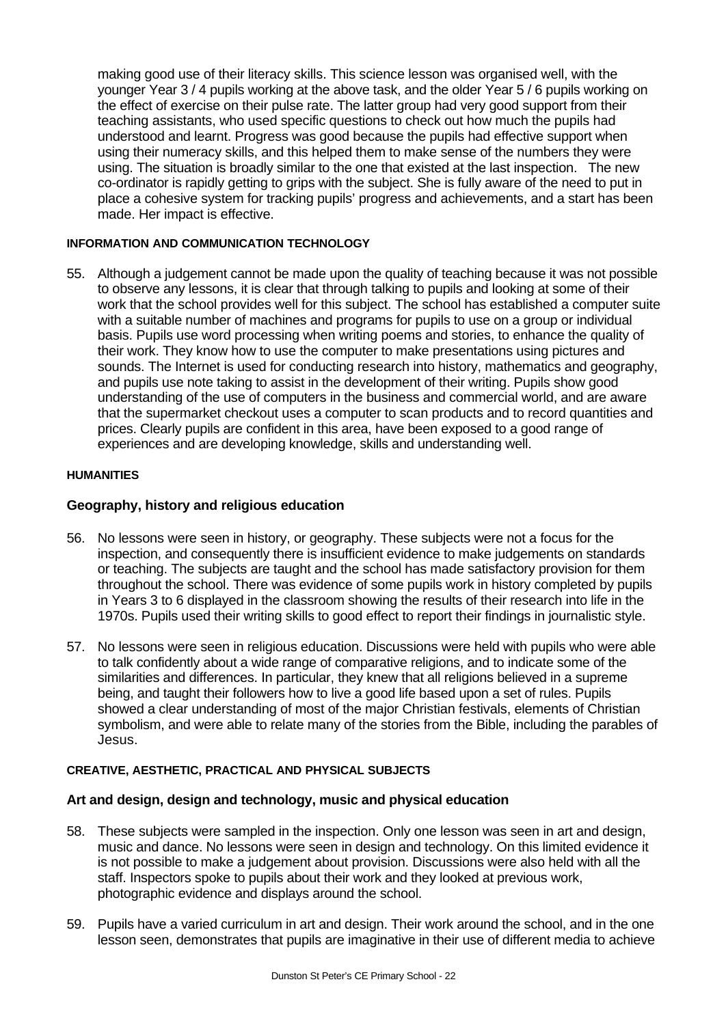making good use of their literacy skills. This science lesson was organised well, with the younger Year 3 / 4 pupils working at the above task, and the older Year 5 / 6 pupils working on the effect of exercise on their pulse rate. The latter group had very good support from their teaching assistants, who used specific questions to check out how much the pupils had understood and learnt. Progress was good because the pupils had effective support when using their numeracy skills, and this helped them to make sense of the numbers they were using. The situation is broadly similar to the one that existed at the last inspection. The new co-ordinator is rapidly getting to grips with the subject. She is fully aware of the need to put in place a cohesive system for tracking pupils' progress and achievements, and a start has been made. Her impact is effective.

### **INFORMATION AND COMMUNICATION TECHNOLOGY**

55. Although a judgement cannot be made upon the quality of teaching because it was not possible to observe any lessons, it is clear that through talking to pupils and looking at some of their work that the school provides well for this subject. The school has established a computer suite with a suitable number of machines and programs for pupils to use on a group or individual basis. Pupils use word processing when writing poems and stories, to enhance the quality of their work. They know how to use the computer to make presentations using pictures and sounds. The Internet is used for conducting research into history, mathematics and geography, and pupils use note taking to assist in the development of their writing. Pupils show good understanding of the use of computers in the business and commercial world, and are aware that the supermarket checkout uses a computer to scan products and to record quantities and prices. Clearly pupils are confident in this area, have been exposed to a good range of experiences and are developing knowledge, skills and understanding well.

### **HUMANITIES**

### **Geography, history and religious education**

- 56. No lessons were seen in history, or geography. These subjects were not a focus for the inspection, and consequently there is insufficient evidence to make judgements on standards or teaching. The subjects are taught and the school has made satisfactory provision for them throughout the school. There was evidence of some pupils work in history completed by pupils in Years 3 to 6 displayed in the classroom showing the results of their research into life in the 1970s. Pupils used their writing skills to good effect to report their findings in journalistic style.
- 57. No lessons were seen in religious education. Discussions were held with pupils who were able to talk confidently about a wide range of comparative religions, and to indicate some of the similarities and differences. In particular, they knew that all religions believed in a supreme being, and taught their followers how to live a good life based upon a set of rules. Pupils showed a clear understanding of most of the major Christian festivals, elements of Christian symbolism, and were able to relate many of the stories from the Bible, including the parables of Jesus.

### **CREATIVE, AESTHETIC, PRACTICAL AND PHYSICAL SUBJECTS**

### **Art and design, design and technology, music and physical education**

- 58. These subjects were sampled in the inspection. Only one lesson was seen in art and design, music and dance. No lessons were seen in design and technology. On this limited evidence it is not possible to make a judgement about provision. Discussions were also held with all the staff. Inspectors spoke to pupils about their work and they looked at previous work, photographic evidence and displays around the school.
- 59. Pupils have a varied curriculum in art and design. Their work around the school, and in the one lesson seen, demonstrates that pupils are imaginative in their use of different media to achieve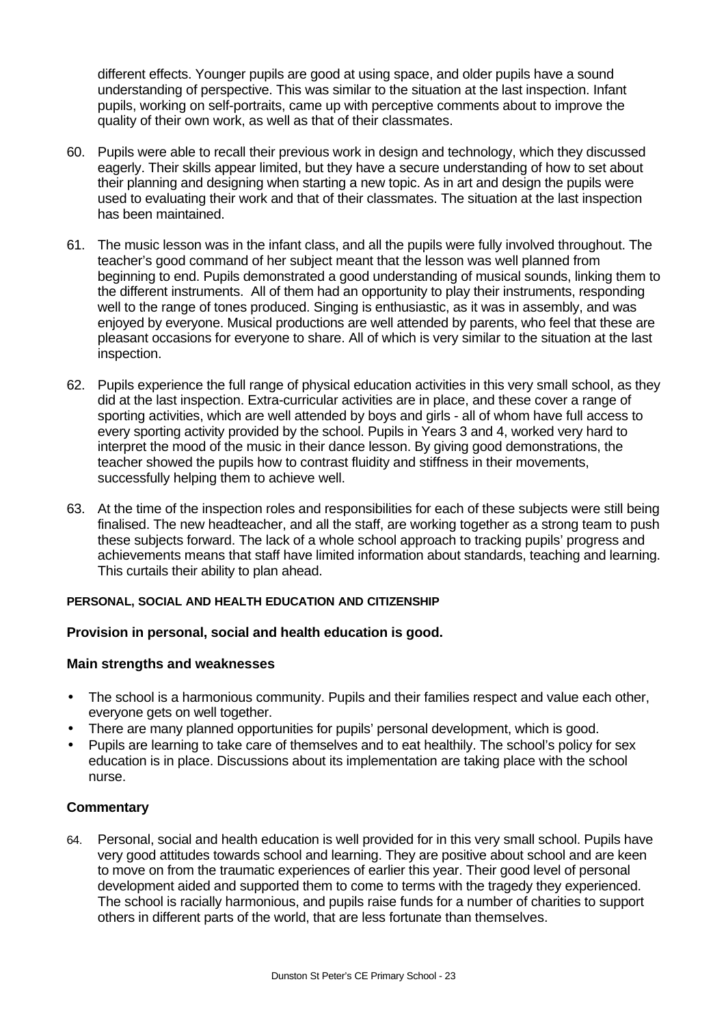different effects. Younger pupils are good at using space, and older pupils have a sound understanding of perspective. This was similar to the situation at the last inspection. Infant pupils, working on self-portraits, came up with perceptive comments about to improve the quality of their own work, as well as that of their classmates.

- 60. Pupils were able to recall their previous work in design and technology, which they discussed eagerly. Their skills appear limited, but they have a secure understanding of how to set about their planning and designing when starting a new topic. As in art and design the pupils were used to evaluating their work and that of their classmates. The situation at the last inspection has been maintained.
- 61. The music lesson was in the infant class, and all the pupils were fully involved throughout. The teacher's good command of her subject meant that the lesson was well planned from beginning to end. Pupils demonstrated a good understanding of musical sounds, linking them to the different instruments. All of them had an opportunity to play their instruments, responding well to the range of tones produced. Singing is enthusiastic, as it was in assembly, and was enjoyed by everyone. Musical productions are well attended by parents, who feel that these are pleasant occasions for everyone to share. All of which is very similar to the situation at the last inspection.
- 62. Pupils experience the full range of physical education activities in this very small school, as they did at the last inspection. Extra-curricular activities are in place, and these cover a range of sporting activities, which are well attended by boys and girls - all of whom have full access to every sporting activity provided by the school. Pupils in Years 3 and 4, worked very hard to interpret the mood of the music in their dance lesson. By giving good demonstrations, the teacher showed the pupils how to contrast fluidity and stiffness in their movements, successfully helping them to achieve well.
- 63. At the time of the inspection roles and responsibilities for each of these subjects were still being finalised. The new headteacher, and all the staff, are working together as a strong team to push these subjects forward. The lack of a whole school approach to tracking pupils' progress and achievements means that staff have limited information about standards, teaching and learning. This curtails their ability to plan ahead.

# **PERSONAL, SOCIAL AND HEALTH EDUCATION AND CITIZENSHIP**

# **Provision in personal, social and health education is good.**

# **Main strengths and weaknesses**

- The school is a harmonious community. Pupils and their families respect and value each other, everyone gets on well together.
- There are many planned opportunities for pupils' personal development, which is good.
- Pupils are learning to take care of themselves and to eat healthily. The school's policy for sex education is in place. Discussions about its implementation are taking place with the school nurse.

# **Commentary**

64. Personal, social and health education is well provided for in this very small school. Pupils have very good attitudes towards school and learning. They are positive about school and are keen to move on from the traumatic experiences of earlier this year. Their good level of personal development aided and supported them to come to terms with the tragedy they experienced. The school is racially harmonious, and pupils raise funds for a number of charities to support others in different parts of the world, that are less fortunate than themselves.